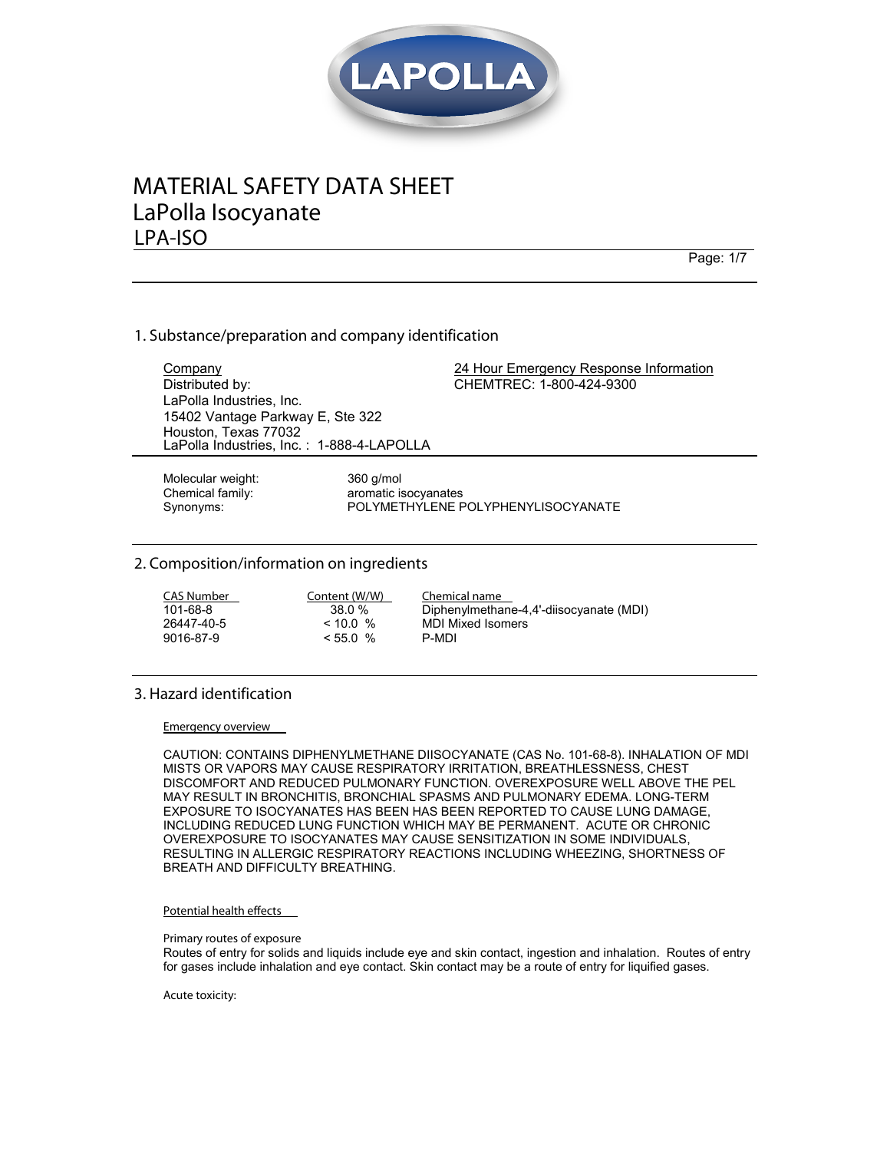

# **MATERIAL SAFETY DATA SHEET LPA-ISO** LaPolla Isocyanate

Page: 1/7

# 1. Substance/preparation and company identification

Company 24 Hour Emergency Response Information Distributed by: LaPolla Industries, Inc. 15402 Vantage Parkway E, Ste 322 Houston, Texas 77032 CHEMTREC: 1-800-424-9300 LaPolla Industries, Inc. : 1-888-4-LAPOLLA

Molecular weight: 360 g/mol

Chemical family: aromatic isocyanates Synonyms: POLYMETHYLENE POLYPHENYLISOCYANATE

# **2. Composition/information on ingredients**

| CAS Number | Content (W/W) | Chemical name                           |
|------------|---------------|-----------------------------------------|
| 101-68-8   | 38.0%         | Diphenylmethane-4,4'-diisocyanate (MDI) |
| 26447-40-5 | < 10.0 %      | <b>MDI Mixed Isomers</b>                |
| 9016-87-9  | $< 55.0$ %    | P-MDI                                   |

# **3. Hazard identification**

**Emergency overview** 

CAUTION: CONTAINS DIPHENYLMETHANE DIISOCYANATE (CAS No. 101-68-8). INHALATION OF MDI MISTS OR VAPORS MAY CAUSE RESPIRATORY IRRITATION, BREATHLESSNESS, CHEST DISCOMFORT AND REDUCED PULMONARY FUNCTION. OVEREXPOSURE WELL ABOVE THE PEL MAY RESULT IN BRONCHITIS, BRONCHIAL SPASMS AND PULMONARY EDEMA. LONG-TERM EXPOSURE TO ISOCYANATES HAS BEEN HAS BEEN REPORTED TO CAUSE LUNG DAMAGE, INCLUDING REDUCED LUNG FUNCTION WHICH MAY BE PERMANENT. ACUTE OR CHRONIC OVEREXPOSURE TO ISOCYANATES MAY CAUSE SENSITIZATION IN SOME INDIVIDUALS, RESULTING IN ALLERGIC RESPIRATORY REACTIONS INCLUDING WHEEZING, SHORTNESS OF BREATH AND DIFFICULTY BREATHING.

#### **Potential health effects**

**Primary routes of exposure** 

Routes of entry for solids and liquids include eye and skin contact, ingestion and inhalation. Routes of entry for gases include inhalation and eye contact. Skin contact may be a route of entry for liquified gases.

**Acute toxicity:**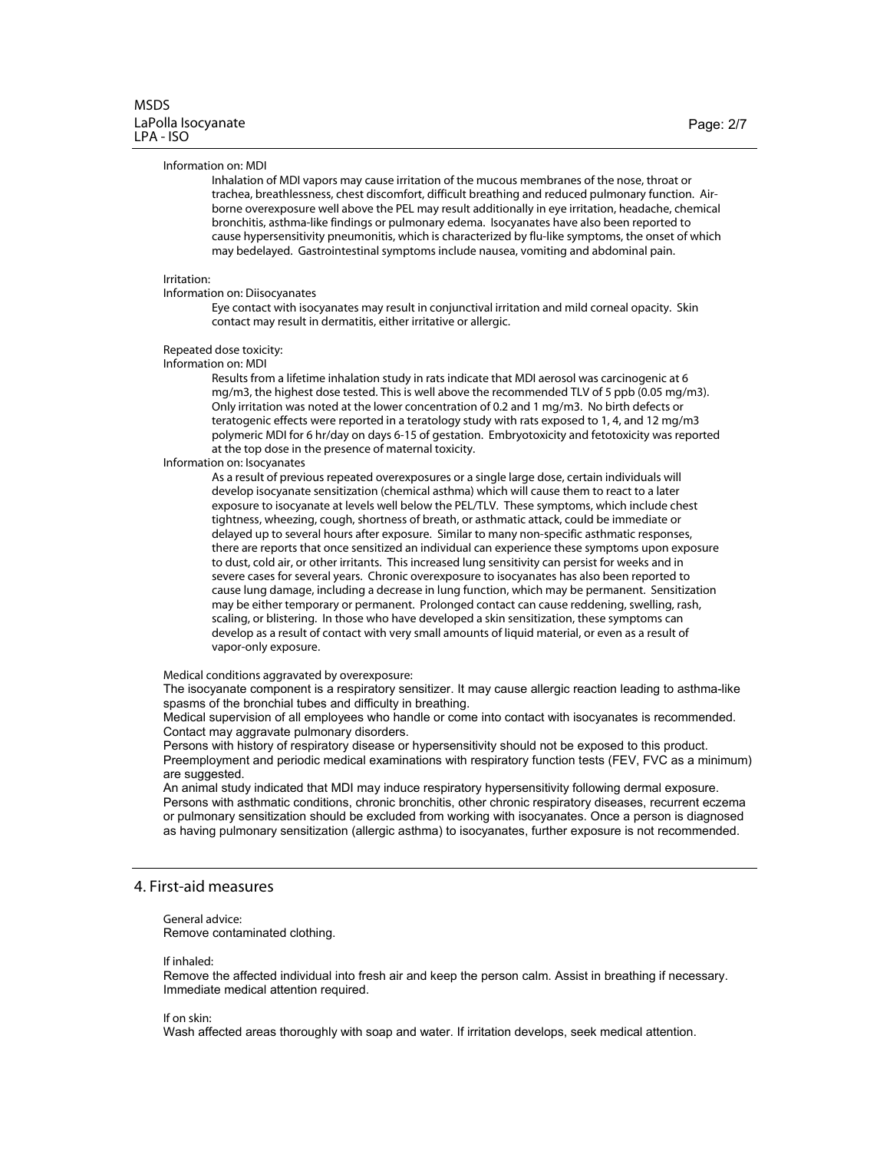#### $Information$  on: MDI

*)NHALATION OF -\$) VAPORS MAY CAUSE IRRITATION OF THE MUCOUS MEMBRANES OF THE NOSE THROAT OR TRACHEABREATHLESSNESS CHEST DISCOMFORT DIFFICULT BREATHING AND REDUCED PULMONARY FUNCTION!IR BORNE OVEREXPOSURE WELL ABOVE THE 0%, MAY RESULT ADDITIONALLY IN EYE IRRITATION HEADACHE CHEMICAL BRONCHITIS ASTHMA
LIKE FINDINGS OR PULMONARY EDEMA )SOCYANATES HAVE ALSO BEEN REPORTEDTO CAUSE HYPERSENSITIVITY PNEUMONITIS WHICH IS CHARACTERIZED BY FLU
LIKE SYMPTOMS THE ONSET OF WHICH May* bedelayed. Gastrointestinal symptoms include nausea, vomiting and abdominal pain.

#### **Irritation:**

#### **Information on: Diisocyanates**

*%YE CONTACT WITH ISOCYANATES MAY RESULT IN CONJUNCTIVAL IRRITATION AND MILD CORNEAL OPACITY 3KIN CONTACTMAY result in dermatitis, either irritative or allergic.* 

**Repeated dose toxicity:** 

*Information on: MDI* 

*2ESULTS FROM A LIFETIME INHALATION STUDY IN RATS INDICATETHAT-\$) AEROSOL WAS CARCINOGENIC AT Mg/m3, the highest dose tested. This is well above the recommended TLV of 5 ppb (0.05 mg/m3). /NLY IRRITATION WAS NOTED AT THE LOWER CONCENTRATION OF AND MGM .O BIRTH DEFECTS OR TERATOGENIC EFFECTS WERE REPORTED IN A TERATOLOGY STUDY WITH RATS EXPOSED TO AND MGM POLYMERIC -\$) FOR HRDAY ON DAYS OF GESTATION %MBRYOTOXICITY AND FETOTOXICITY WAS REPORTED ATTHE TOP DOSE IN THE PRESENCE OF MATERNAL TOXICITY*

*Information on: Isocyanates* 

*!S A RESULTOF PREVIOUS REPEATED OVEREXPOSURES OR A SINGLE LARGE DOSE CERTAIN INDIVIDUALS WILL DEVELOP ISOCYANATE SENSITIZATION CHEMICAL ASTHMA WHICH WILL CAUSE THEM TO REACTTO A LATER EXPOSURE TO ISOCYANATE ATLEVELS WELL BELOW THE 0%,4,6 4HESE SYMPTOMS WHICH INCLUDE CHEST TIGHTNESS WHEEZINGCOUGH SHORTNESS OFBREATH OR ASTHMATIC ATTACK COULD BE IMMEDIATE OR DELAYED UP TO SEVERAL HOURS AFTER EXPOSURE 3IMILAR TO MANY NON
SPECIFIC ASTHMATIC RESPONSES THERE ARE REPORTSTHATONCE SENSITIZED AN INDIVIDUAL CAN EXPERIENCE THESE SYMPTOMS UPON EXPOSURE TO DUST COLD AIROR OTHER IRRITANTS4HIS INCREASED LUNG SENSITIVITY CAN PERSIST FOR WEEKS AND IN SEVERE CASES FOR SEVERAL YEARS#HRONIC OVEREXPOSURETO ISOCYANATES HAS ALSO BEEN REPORTEDTO CAUSE LUNG DAMAGE INCLUDING A DECREASE IN LUNG FUNCTION WHICH MAY BE PERMANENT 3ENSITIZATION May* be either temporary or permanent. Prolonged contact can cause reddening, swelling, rash, *SCALING OR BLISTERING)N THOSE WHO HAVE DEVELOPED A SKIN SENSITIZATION THESE SYMPTOMS CAN DEVELOP AS A RESULT OF CONTACT WITH VERY SMALL AMOUNTS OF LIQUID MATERIALOR EVEN AS A RESULT OF* vapor-only exposure.

**Medical conditions aggravated by overexposure:** 

The isocyanate component is a respiratory sensitizer. It may cause allergic reaction leading to asthma-like spasms of the bronchial tubes and difficulty in breathing.

Medical supervision of all employees who handle or come into contact with isocyanates is recommended. Contact may aggravate pulmonary disorders.

Persons with history of respiratory disease or hypersensitivity should not be exposed to this product. Preemployment and periodic medical examinations with respiratory function tests (FEV, FVC as a minimum) are suggested.

An animal study indicated that MDI may induce respiratory hypersensitivity following dermal exposure. Persons with asthmatic conditions, chronic bronchitis, other chronic respiratory diseases, recurrent eczema or pulmonary sensitization should be excluded from working with isocyanates. Once a person is diagnosed as having pulmonary sensitization (allergic asthma) to isocyanates, further exposure is not recommended.

## **4. First-aid measures**

General advice: Remove contaminated clothing.

#### **If** inhaled:

Remove the affected individual into fresh air and keep the person calm. Assist in breathing if necessary. Immediate medical attention required.

#### **lf** on skin:

Wash affected areas thoroughly with soap and water. If irritation develops, seek medical attention.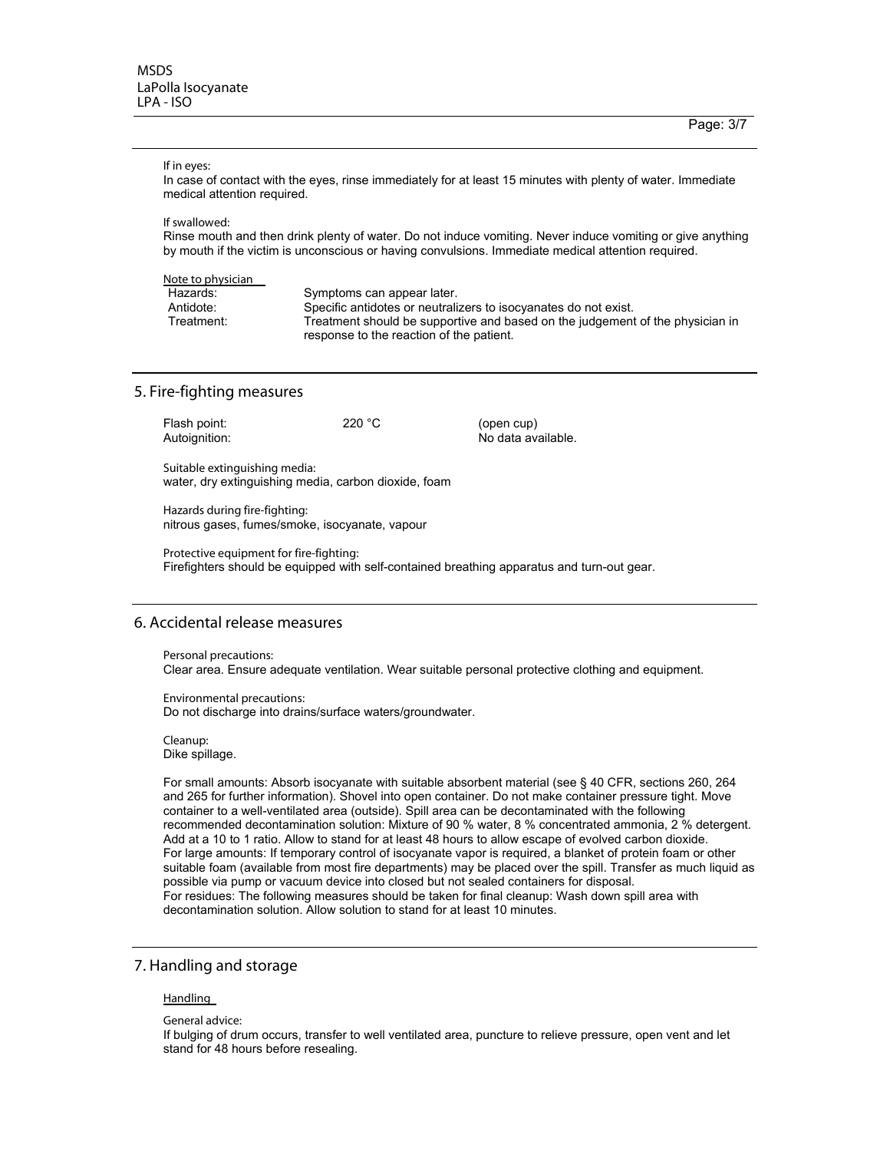# **lf** in eyes:

In case of contact with the eyes, rinse immediately for at least 15 minutes with plenty of water. Immediate medical attention required.

**lf** swallowed:

Rinse mouth and then drink plenty of water. Do not induce vomiting. Never induce vomiting or give anything by mouth if the victim is unconscious or having convulsions. Immediate medical attention required.

| Note to physician |                                                                               |
|-------------------|-------------------------------------------------------------------------------|
| Hazards:          | Symptoms can appear later.                                                    |
| Antidote:         | Specific antidotes or neutralizers to isocyanates do not exist.               |
| Treatment:        | Treatment should be supportive and based on the judgement of the physician in |
|                   | response to the reaction of the patient.                                      |

# **5. Fire-fighting measures**

| Flash point:<br>Autoignition: | 220 °C | (open cup)<br>No data available. |
|-------------------------------|--------|----------------------------------|
| Suitable extinguishing media: |        |                                  |

water, dry extinguishing media, carbon dioxide, foam

**Hazards during fire-fighting:** nitrous gases, fumes/smoke, isocyanate, vapour

**Protective equipment for fire-fighting:** Firefighters should be equipped with self-contained breathing apparatus and turn-out gear.

# **!CCIDENTAL RELEASE MEASURES**

**Personal precautions:** Clear area. Ensure adequate ventilation. Wear suitable personal protective clothing and equipment.

**Environmental precautions:** Do not discharge into drains/surface waters/groundwater.

Cleanup: Dike spillage.

For small amounts: Absorb isocyanate with suitable absorbent material (see § 40 CFR, sections 260, 264 and 265 for further information). Shovel into open container. Do not make container pressure tight. Move container to a well-ventilated area (outside). Spill area can be decontaminated with the following recommended decontamination solution: Mixture of 90 % water, 8 % concentrated ammonia, 2 % detergent. Add at a 10 to 1 ratio. Allow to stand for at least 48 hours to allow escape of evolved carbon dioxide. For large amounts: If temporary control of isocyanate vapor is required, a blanket of protein foam or other suitable foam (available from most fire departments) may be placed over the spill. Transfer as much liquid as possible via pump or vacuum device into closed but not sealed containers for disposal. For residues: The following measures should be taken for final cleanup: Wash down spill area with decontamination solution. Allow solution to stand for at least 10 minutes.

## **7. Handling and storage**

#### **Handling**

**General advice:** 

If bulging of drum occurs, transfer to well ventilated area, puncture to relieve pressure, open vent and let stand for 48 hours before resealing.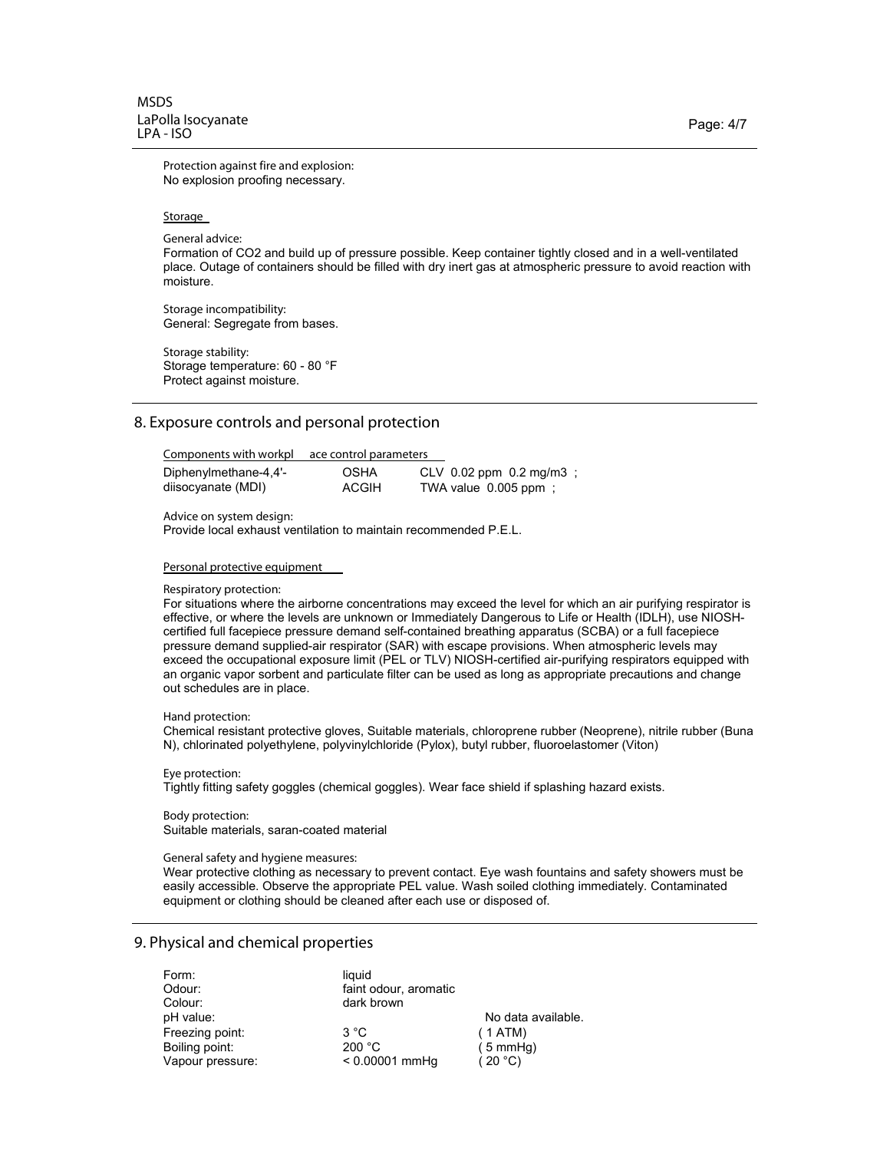**Protection against fire and explosion:** No explosion proofing necessary.

#### Storage

**General advice:** 

Formation of CO2 and build up of pressure possible. Keep container tightly closed and in a well-ventilated place. Outage of containers should be filled with dry inert gas at atmospheric pressure to avoid reaction with moisture.

**Storage incompatibility:** General: Segregate from bases.

**Storage stability:** Storage temperature: 60 - 80 °F Protect against moisture.

## 8. Exposure controls and personal protection

| Components with workpl | ace control parameters |                           |
|------------------------|------------------------|---------------------------|
| Diphenylmethane-4,4'-  | <b>OSHA</b>            | $CLV$ 0.02 ppm 0.2 mg/m3; |
| diisocyanate (MDI)     | <b>ACGIH</b>           | TWA value 0.005 ppm:      |

**Advice on system design:** 

Provide local exhaust ventilation to maintain recommended P.E.L.

**Personal protective equipment** 

#### **Respiratory protection:**

For situations where the airborne concentrations may exceed the level for which an air purifying respirator is effective, or where the levels are unknown or Immediately Dangerous to Life or Health (IDLH), use NIOSHcertified full facepiece pressure demand self-contained breathing apparatus (SCBA) or a full facepiece pressure demand supplied-air respirator (SAR) with escape provisions. When atmospheric levels may exceed the occupational exposure limit (PEL or TLV) NIOSH-certified air-purifying respirators equipped with an organic vapor sorbent and particulate filter can be used as long as appropriate precautions and change out schedules are in place.

#### Hand protection:

Chemical resistant protective gloves, Suitable materials, chloroprene rubber (Neoprene), nitrile rubber (Buna N), chlorinated polyethylene, polyvinylchloride (Pylox), butyl rubber, fluoroelastomer (Viton)

Eye protection: Tightly fitting safety goggles (chemical goggles). Wear face shield if splashing hazard exists.

**Body protection:** Suitable materials, saran-coated material

#### **General safety and hygiene measures:**

Wear protective clothing as necessary to prevent contact. Eye wash fountains and safety showers must be easily accessible. Observe the appropriate PEL value. Wash soiled clothing immediately. Contaminated equipment or clothing should be cleaned after each use or disposed of.

## **9. Physical and chemical properties**

| Form:<br>Odour:<br>Colour: | liquid<br>faint odour, aromatic<br>dark brown |                    |
|----------------------------|-----------------------------------------------|--------------------|
| pH value:                  |                                               | No data available. |
| Freezing point:            | $3^{\circ}C$                                  | (1ATM)             |
| Boiling point:             | 200 °C                                        | $(5 \text{ mmHq})$ |
| Vapour pressure:           | $< 0.00001$ mmHq                              | (20 °C)            |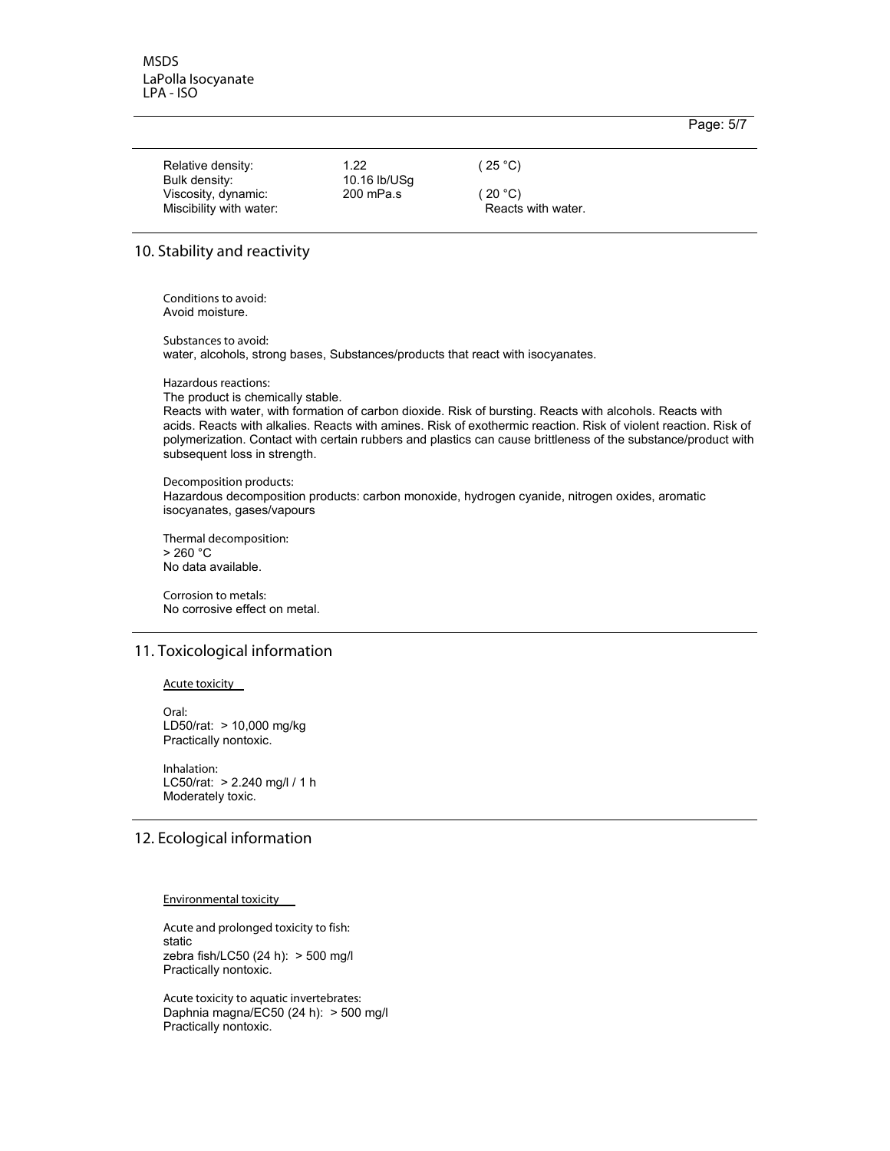#### Page: 5/7

| Relative density:                    | 1.22                      | (25 °C)            |  |
|--------------------------------------|---------------------------|--------------------|--|
| Bulk density:<br>Viscosity, dynamic: | 10.16 lb/USq<br>200 mPa.s | (20 °C).           |  |
| Miscibility with water:              |                           | Reacts with water. |  |

### **10. Stability and reactivity**

Conditions to avoid: Avoid moisture.

Substances to avoid: water, alcohols, strong bases, Substances/products that react with isocyanates.

**Hazardous** reactions:

The product is chemically stable.

Reacts with water, with formation of carbon dioxide. Risk of bursting. Reacts with alcohols. Reacts with acids. Reacts with alkalies. Reacts with amines. Risk of exothermic reaction. Risk of violent reaction. Risk of polymerization. Contact with certain rubbers and plastics can cause brittleness of the substance/product with subsequent loss in strength.

**Decomposition products:** Hazardous decomposition products: carbon monoxide, hydrogen cyanide, nitrogen oxides, aromatic isocyanates, gases/vapours

**Thermal decomposition:** > 260 °C No data available.

**Corrosion to metals:** No corrosive effect on metal.

## **11. Toxicological information**

#### **Acute toxicity**

Oral: LD50/rat: > 10,000 mg/kg Practically nontoxic.

**Inhalation:** LC50/rat: > 2.240 mg/l / 1 h Moderately toxic.

# **12. Ecological information**

#### **Environmental toxicity**

**Acute and prolonged toxicity to fish:** static zebra fish/LC50 (24 h): > 500 mg/l Practically nontoxic.

 $R$  **Acute toxicity to aquatic invertebrates:** Daphnia magna/EC50 (24 h): > 500 mg/l Practically nontoxic.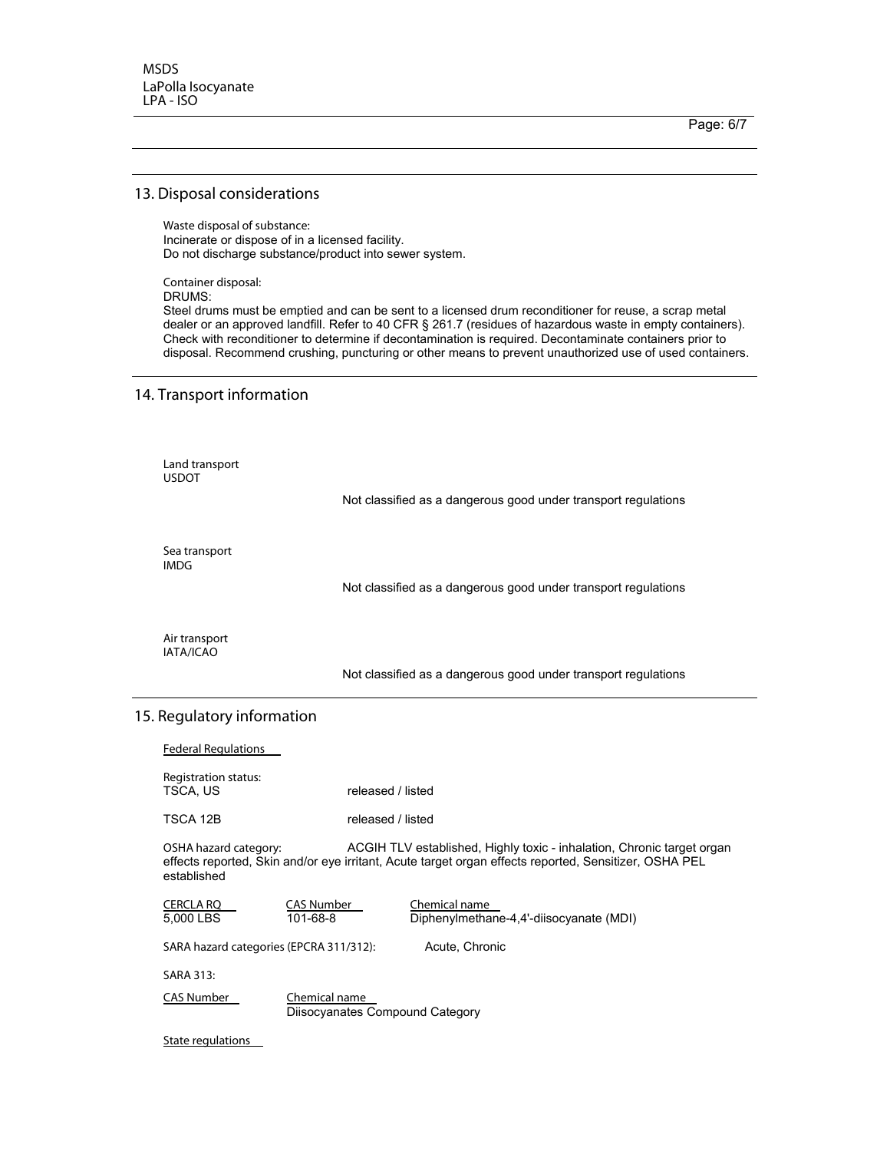Page: 6/7

#### 13. Disposal considerations

**Waste disposal of substance:** Incinerate or dispose of in a licensed facility. Do not discharge substance/product into sewer system.

**Container disposal:** 

DRUMS:

Steel drums must be emptied and can be sent to a licensed drum reconditioner for reuse, a scrap metal dealer or an approved landfill. Refer to 40 CFR § 261.7 (residues of hazardous waste in empty containers). Check with reconditioner to determine if decontamination is required. Decontaminate containers prior to disposal. Recommend crushing, puncturing or other means to prevent unauthorized use of used containers.

## **14. Transport information**

Land transport USDOT

Not classified as a dangerous good under transport regulations

**Sea transport**  $IMDG$ 

Not classified as a dangerous good under transport regulations

**Air transport**  $|ATA/ICAO$ 

Not classified as a dangerous good under transport regulations

## **15. Regulatory information**

**Federal Regulations** Registration status:<br>TSCA, US released / listed TSCA 12B released / listed **/3/ OSHA hazard category: ACGIH TLV established, Highly toxic - inhalation, Chronic target organ** effects reported, Skin and/or eye irritant, Acute target organ effects reported, Sensitizer, OSHA PEL established **<u> CAS Number</u> CAS Number Chemical name<br>
5,000 LBS 101-68-8 Diphenylmetha</u>** Diphenylmethane-4,4'-diisocyanate (MDI) **3 SARA hazard categories (EPCRA 311/312): Acute, Chronic** SARA 313:  **#CAS Number #Chemical name** Diisocyanates Compound Category **State regulations**